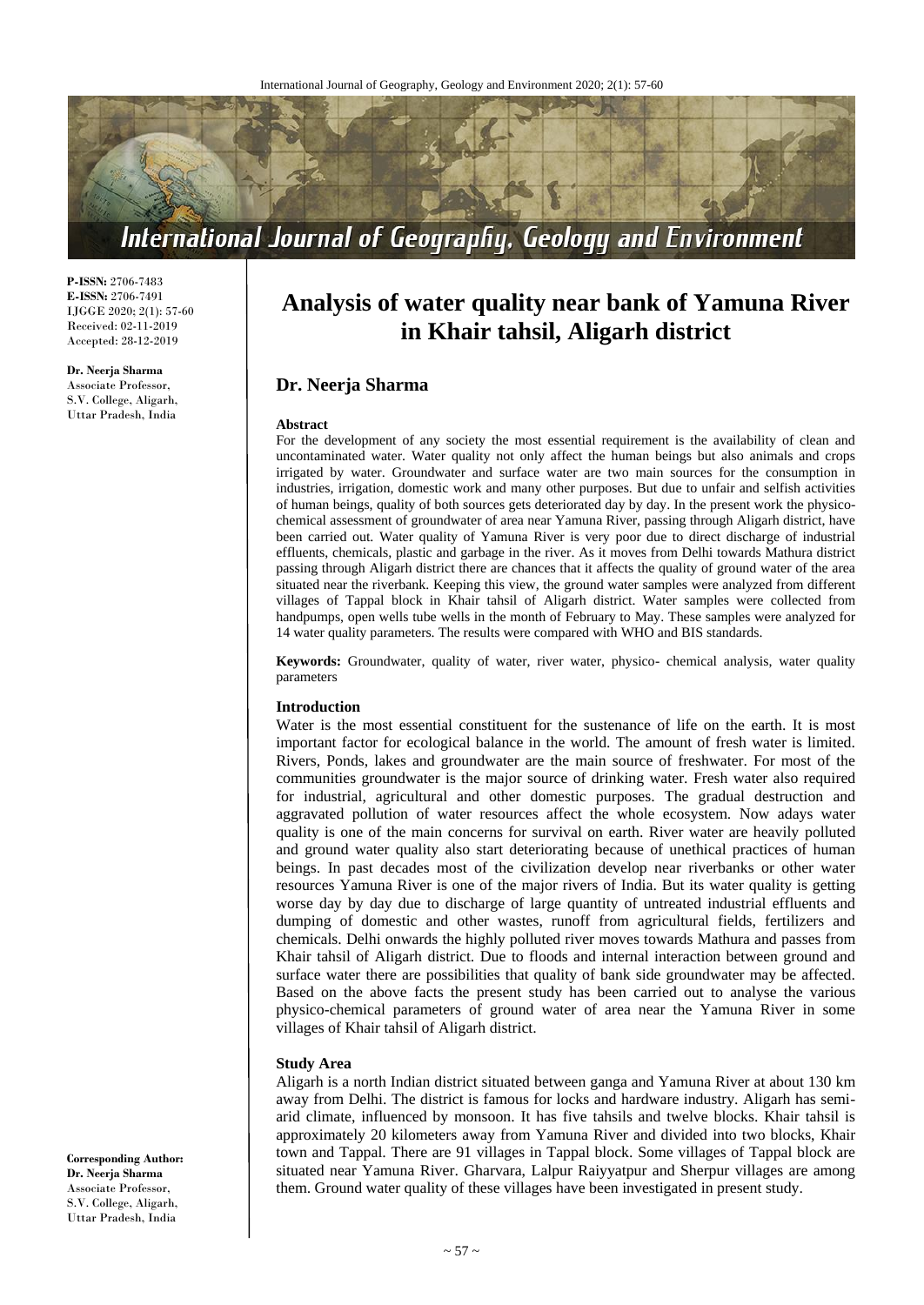

**P-ISSN:** 2706-7483 **E-ISSN:** 2706-7491 IJGGE 2020; 2(1): 57-60 Received: 02-11-2019 Accepted: 28-12-2019

#### **Dr. Neerja Sharma**

Associate Professor, S.V. College, Aligarh, Uttar Pradesh, India

# **Analysis of water quality near bank of Yamuna River in Khair tahsil, Aligarh district**

# **Dr. Neerja Sharma**

#### **Abstract**

For the development of any society the most essential requirement is the availability of clean and uncontaminated water. Water quality not only affect the human beings but also animals and crops irrigated by water. Groundwater and surface water are two main sources for the consumption in industries, irrigation, domestic work and many other purposes. But due to unfair and selfish activities of human beings, quality of both sources gets deteriorated day by day. In the present work the physicochemical assessment of groundwater of area near Yamuna River, passing through Aligarh district, have been carried out. Water quality of Yamuna River is very poor due to direct discharge of industrial effluents, chemicals, plastic and garbage in the river. As it moves from Delhi towards Mathura district passing through Aligarh district there are chances that it affects the quality of ground water of the area situated near the riverbank. Keeping this view, the ground water samples were analyzed from different villages of Tappal block in Khair tahsil of Aligarh district. Water samples were collected from handpumps, open wells tube wells in the month of February to May. These samples were analyzed for 14 water quality parameters. The results were compared with WHO and BIS standards.

**Keywords:** Groundwater, quality of water, river water, physico- chemical analysis, water quality parameters

#### **Introduction**

Water is the most essential constituent for the sustenance of life on the earth. It is most important factor for ecological balance in the world. The amount of fresh water is limited. Rivers, Ponds, lakes and groundwater are the main source of freshwater. For most of the communities groundwater is the major source of drinking water. Fresh water also required for industrial, agricultural and other domestic purposes. The gradual destruction and aggravated pollution of water resources affect the whole ecosystem. Now adays water quality is one of the main concerns for survival on earth. River water are heavily polluted and ground water quality also start deteriorating because of unethical practices of human beings. In past decades most of the civilization develop near riverbanks or other water resources Yamuna River is one of the major rivers of India. But its water quality is getting worse day by day due to discharge of large quantity of untreated industrial effluents and dumping of domestic and other wastes, runoff from agricultural fields, fertilizers and chemicals. Delhi onwards the highly polluted river moves towards Mathura and passes from Khair tahsil of Aligarh district. Due to floods and internal interaction between ground and surface water there are possibilities that quality of bank side groundwater may be affected. Based on the above facts the present study has been carried out to analyse the various physico-chemical parameters of ground water of area near the Yamuna River in some villages of Khair tahsil of Aligarh district.

#### **Study Area**

Aligarh is a north Indian district situated between ganga and Yamuna River at about 130 km away from Delhi. The district is famous for locks and hardware industry. Aligarh has semiarid climate, influenced by monsoon. It has five tahsils and twelve blocks. Khair tahsil is approximately 20 kilometers away from Yamuna River and divided into two blocks, Khair town and Tappal. There are 91 villages in Tappal block. Some villages of Tappal block are situated near Yamuna River. Gharvara, Lalpur Raiyyatpur and Sherpur villages are among them. Ground water quality of these villages have been investigated in present study.

**Corresponding Author: Dr. Neerja Sharma** Associate Professor, S.V. College, Aligarh, Uttar Pradesh, India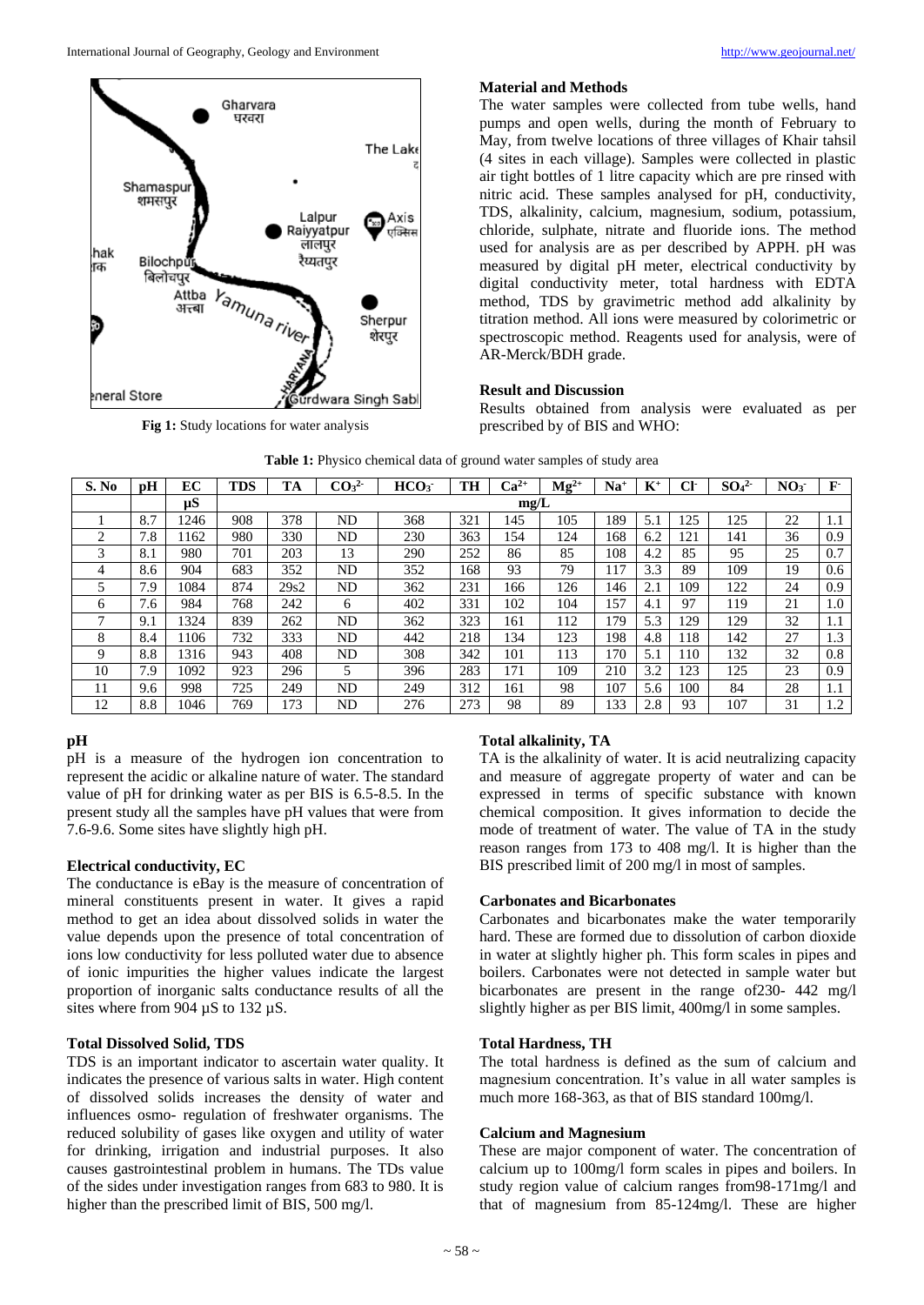

**Fig 1:** Study locations for water analysis

# **Material and Methods**

The water samples were collected from tube wells, hand pumps and open wells, during the month of February to May, from twelve locations of three villages of Khair tahsil (4 sites in each village). Samples were collected in plastic air tight bottles of 1 litre capacity which are pre rinsed with nitric acid. These samples analysed for pH, conductivity, TDS, alkalinity, calcium, magnesium, sodium, potassium, chloride, sulphate, nitrate and fluoride ions. The method used for analysis are as per described by APPH. pH was measured by digital pH meter, electrical conductivity by digital conductivity meter, total hardness with EDTA method, TDS by gravimetric method add alkalinity by titration method. All ions were measured by colorimetric or spectroscopic method. Reagents used for analysis, were of AR-Merck/BDH grade.

# **Result and Discussion**

Results obtained from analysis were evaluated as per prescribed by of BIS and WHO:

| S. No | pH  | EC      | <b>TDS</b> | TA   | CO <sub>3</sub> <sup>2</sup> | HCO <sub>3</sub> | TH  | $Ca^{2+}$ | $Mg^{2+}$ | $Na+$ | $\mathbf{K}^+$ | CF  | SO <sub>4</sub> <sup>2</sup> | NO <sub>3</sub> | ${\bf F}$ |
|-------|-----|---------|------------|------|------------------------------|------------------|-----|-----------|-----------|-------|----------------|-----|------------------------------|-----------------|-----------|
|       |     | $\mu S$ | mg/L       |      |                              |                  |     |           |           |       |                |     |                              |                 |           |
|       | 8.7 | 246     | 908        | 378  | ND                           | 368              | 321 | 145       | 105       | 189   | 5.1            | 125 | 125                          | 22              | 1.1       |
| ◠     | 7.8 | 162     | 980        | 330  | ND                           | 230              | 363 | 154       | 124       | 168   | 6.2            | 121 | 141                          | 36              | 0.9       |
| 3     | 8.1 | 980     | 701        | 203  | 13                           | 290              | 252 | 86        | 85        | 108   | 4.2            | 85  | 95                           | 25              | 0.7       |
| 4     | 8.6 | 904     | 683        | 352  | ND                           | 352              | 168 | 93        | 79        | 117   | 3.3            | 89  | 109                          | 19              | 0.6       |
|       | 7.9 | 1084    | 874        | 29s2 | ND                           | 362              | 231 | 166       | 126       | 146   | 2.1            | 109 | 122                          | 24              | 0.9       |
| 6     | 7.6 | 984     | 768        | 242  | 6                            | 402              | 331 | 102       | 104       | 157   | 4.1            | 97  | 119                          | 21              | 1.0       |
|       | 9.1 | 324     | 839        | 262  | ND                           | 362              | 323 | 161       | 112       | 179   | 5.3            | 129 | 129                          | 32              | 1.1       |
| 8     | 8.4 | 106     | 732        | 333  | ND                           | 442              | 218 | 134       | 123       | 198   | 4.8            | 118 | 142                          | 27              | 1.3       |
| 9     | 8.8 | 1316    | 943        | 408  | ND                           | 308              | 342 | 101       | 113       | 170   | 5.1            | 110 | 132                          | 32              | 0.8       |
| 10    | 7.9 | 1092    | 923        | 296  | 5                            | 396              | 283 | 171       | 109       | 210   | 3.2            | 123 | 125                          | 23              | 0.9       |
| 11    | 9.6 | 998     | 725        | 249  | ND                           | 249              | 312 | 161       | 98        | 107   | 5.6            | 100 | 84                           | 28              | 1.1       |
| 12    | 8.8 | 1046    | 769        | 173  | ND                           | 276              | 273 | 98        | 89        | 133   | 2.8            | 93  | 107                          | 31              | 1.2       |

#### Table 1: Physico chemical data of ground water samples of study area

# **pH**

pH is a measure of the hydrogen ion concentration to represent the acidic or alkaline nature of water. The standard value of pH for drinking water as per BIS is 6.5-8.5. In the present study all the samples have pH values that were from 7.6-9.6. Some sites have slightly high pH.

# **Electrical conductivity, EC**

The conductance is eBay is the measure of concentration of mineral constituents present in water. It gives a rapid method to get an idea about dissolved solids in water the value depends upon the presence of total concentration of ions low conductivity for less polluted water due to absence of ionic impurities the higher values indicate the largest proportion of inorganic salts conductance results of all the sites where from 904  $\mu$ S to 132  $\mu$ S.

# **Total Dissolved Solid, TDS**

TDS is an important indicator to ascertain water quality. It indicates the presence of various salts in water. High content of dissolved solids increases the density of water and influences osmo- regulation of freshwater organisms. The reduced solubility of gases like oxygen and utility of water for drinking, irrigation and industrial purposes. It also causes gastrointestinal problem in humans. The TDs value of the sides under investigation ranges from 683 to 980. It is higher than the prescribed limit of BIS, 500 mg/l.

# **Total alkalinity, TA**

TA is the alkalinity of water. It is acid neutralizing capacity and measure of aggregate property of water and can be expressed in terms of specific substance with known chemical composition. It gives information to decide the mode of treatment of water. The value of TA in the study reason ranges from 173 to 408 mg/l. It is higher than the BIS prescribed limit of 200 mg/l in most of samples.

# **Carbonates and Bicarbonates**

Carbonates and bicarbonates make the water temporarily hard. These are formed due to dissolution of carbon dioxide in water at slightly higher ph. This form scales in pipes and boilers. Carbonates were not detected in sample water but bicarbonates are present in the range of230- 442 mg/l slightly higher as per BIS limit, 400mg/l in some samples.

# **Total Hardness, TH**

The total hardness is defined as the sum of calcium and magnesium concentration. It's value in all water samples is much more 168-363, as that of BIS standard 100mg/l.

## **Calcium and Magnesium**

These are major component of water. The concentration of calcium up to 100mg/l form scales in pipes and boilers. In study region value of calcium ranges from98-171mg/l and that of magnesium from 85-124mg/l. These are higher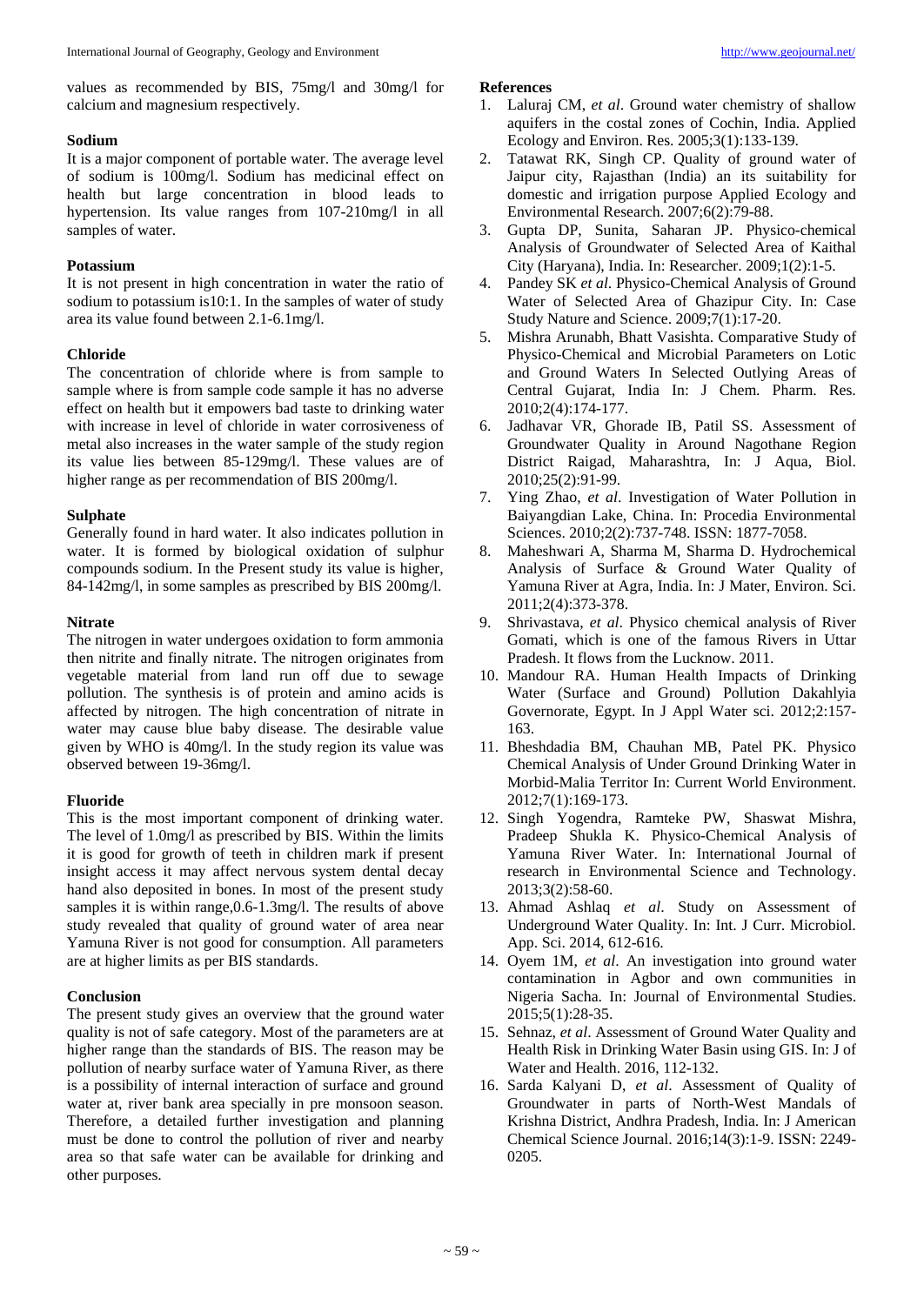values as recommended by BIS, 75mg/l and 30mg/l for calcium and magnesium respectively.

## **Sodium**

It is a major component of portable water. The average level of sodium is 100mg/l. Sodium has medicinal effect on health but large concentration in blood leads to hypertension. Its value ranges from 107-210mg/l in all samples of water.

## **Potassium**

It is not present in high concentration in water the ratio of sodium to potassium is10:1. In the samples of water of study area its value found between 2.1-6.1mg/l.

# **Chloride**

The concentration of chloride where is from sample to sample where is from sample code sample it has no adverse effect on health but it empowers bad taste to drinking water with increase in level of chloride in water corrosiveness of metal also increases in the water sample of the study region its value lies between 85-129mg/l. These values are of higher range as per recommendation of BIS 200mg/l.

## **Sulphate**

Generally found in hard water. It also indicates pollution in water. It is formed by biological oxidation of sulphur compounds sodium. In the Present study its value is higher, 84-142mg/l, in some samples as prescribed by BIS 200mg/l.

## **Nitrate**

The nitrogen in water undergoes oxidation to form ammonia then nitrite and finally nitrate. The nitrogen originates from vegetable material from land run off due to sewage pollution. The synthesis is of protein and amino acids is affected by nitrogen. The high concentration of nitrate in water may cause blue baby disease. The desirable value given by WHO is 40mg/l. In the study region its value was observed between 19-36mg/l.

## **Fluoride**

This is the most important component of drinking water. The level of 1.0mg/l as prescribed by BIS. Within the limits it is good for growth of teeth in children mark if present insight access it may affect nervous system dental decay hand also deposited in bones. In most of the present study samples it is within range, 0.6-1.3mg/l. The results of above study revealed that quality of ground water of area near Yamuna River is not good for consumption. All parameters are at higher limits as per BIS standards.

## **Conclusion**

The present study gives an overview that the ground water quality is not of safe category. Most of the parameters are at higher range than the standards of BIS. The reason may be pollution of nearby surface water of Yamuna River, as there is a possibility of internal interaction of surface and ground water at, river bank area specially in pre monsoon season. Therefore, a detailed further investigation and planning must be done to control the pollution of river and nearby area so that safe water can be available for drinking and other purposes.

#### **References**

- 1. Laluraj CM, *et al*. Ground water chemistry of shallow aquifers in the costal zones of Cochin, India. Applied Ecology and Environ. Res. 2005;3(1):133-139.
- 2. Tatawat RK, Singh CP. Quality of ground water of Jaipur city, Rajasthan (India) an its suitability for domestic and irrigation purpose Applied Ecology and Environmental Research. 2007;6(2):79-88.
- 3. Gupta DP, Sunita, Saharan JP. Physico-chemical Analysis of Groundwater of Selected Area of Kaithal City (Haryana), India. In: Researcher. 2009;1(2):1-5.
- 4. Pandey SK *et al*. Physico-Chemical Analysis of Ground Water of Selected Area of Ghazipur City. In: Case Study Nature and Science. 2009;7(1):17-20.
- 5. Mishra Arunabh, Bhatt Vasishta. Comparative Study of Physico-Chemical and Microbial Parameters on Lotic and Ground Waters In Selected Outlying Areas of Central Gujarat, India In: J Chem. Pharm. Res. 2010;2(4):174-177.
- 6. Jadhavar VR, Ghorade IB, Patil SS. Assessment of Groundwater Quality in Around Nagothane Region District Raigad, Maharashtra, In: J Aqua, Biol. 2010;25(2):91-99.
- 7. Ying Zhao, *et al*. Investigation of Water Pollution in Baiyangdian Lake, China. In: Procedia Environmental Sciences. 2010;2(2):737-748. ISSN: 1877-7058.
- 8. Maheshwari A, Sharma M, Sharma D. Hydrochemical Analysis of Surface & Ground Water Quality of Yamuna River at Agra, India. In: J Mater, Environ. Sci. 2011;2(4):373-378.
- 9. Shrivastava, *et al*. Physico chemical analysis of River Gomati, which is one of the famous Rivers in Uttar Pradesh. It flows from the Lucknow. 2011.
- 10. Mandour RA. Human Health Impacts of Drinking Water (Surface and Ground) Pollution Dakahlyia Governorate, Egypt. In J Appl Water sci. 2012;2:157- 163.
- 11. Bheshdadia BM, Chauhan MB, Patel PK. Physico Chemical Analysis of Under Ground Drinking Water in Morbid-Malia Territor In: Current World Environment. 2012;7(1):169-173.
- 12. Singh Yogendra, Ramteke PW, Shaswat Mishra, Pradeep Shukla K. Physico-Chemical Analysis of Yamuna River Water. In: International Journal of research in Environmental Science and Technology. 2013;3(2):58-60.
- 13. Ahmad Ashlaq *et al*. Study on Assessment of Underground Water Quality. In: Int. J Curr. Microbiol. App. Sci. 2014, 612-616.
- 14. Oyem 1M, *et al*. An investigation into ground water contamination in Agbor and own communities in Nigeria Sacha. In: Journal of Environmental Studies. 2015;5(1):28-35.
- 15. Sehnaz, *et al*. Assessment of Ground Water Quality and Health Risk in Drinking Water Basin using GIS. In: J of Water and Health. 2016, 112-132.
- 16. Sarda Kalyani D, *et al*. Assessment of Quality of Groundwater in parts of North-West Mandals of Krishna District, Andhra Pradesh, India. In: J American Chemical Science Journal. 2016;14(3):1-9. ISSN: 2249- 0205.